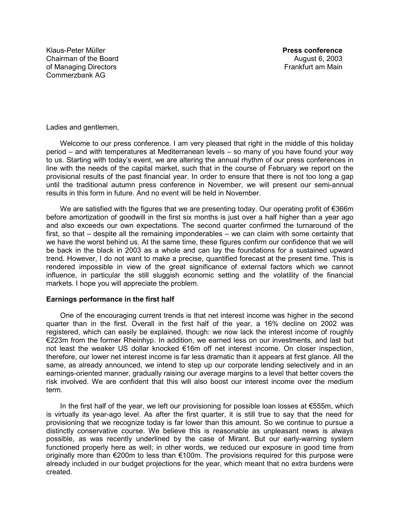Klaus-Peter Müller **Press conference** Chairman of the Board **August 6, 2003 August 6, 2003** of Managing Directors **Frankfurt** am Main Commerzbank AG

Ladies and gentlemen,

Welcome to our press conference. I am very pleased that right in the middle of this holiday period – and with temperatures at Mediterranean levels – so many of you have found your way to us. Starting with today's event, we are altering the annual rhythm of our press conferences in line with the needs of the capital market, such that in the course of February we report on the provisional results of the past financial year. In order to ensure that there is not too long a gap until the traditional autumn press conference in November, we will present our semi-annual results in this form in future. And no event will be held in November.

We are satisfied with the figures that we are presenting today. Our operating profit of  $\epsilon$ 366m before amortization of goodwill in the first six months is just over a half higher than a year ago and also exceeds our own expectations. The second quarter confirmed the turnaround of the first, so that – despite all the remaining imponderables – we can claim with some certainty that we have the worst behind us. At the same time, these figures confirm our confidence that we will be back in the black in 2003 as a whole and can lay the foundations for a sustained upward trend. However, I do not want to make a precise, quantified forecast at the present time. This is rendered impossible in view of the great significance of external factors which we cannot influence, in particular the still sluggish economic setting and the volatility of the financial markets. I hope you will appreciate the problem.

## **Earnings performance in the first half**

One of the encouraging current trends is that net interest income was higher in the second quarter than in the first. Overall in the first half of the year, a 16% decline on 2002 was registered, which can easily be explained, though: we now lack the interest income of roughly €223m from the former Rheinhyp. In addition, we earned less on our investments, and last but not least the weaker US dollar knocked €16m off net interest income. On closer inspection, therefore, our lower net interest income is far less dramatic than it appears at first glance. All the same, as already announced, we intend to step up our corporate lending selectively and in an earnings-oriented manner, gradually raising our average margins to a level that better covers the risk involved. We are confident that this will also boost our interest income over the medium term.

In the first half of the year, we left our provisioning for possible loan losses at €555m, which is virtually its year-ago level. As after the first quarter, it is still true to say that the need for provisioning that we recognize today is far lower than this amount. So we continue to pursue a distinctly conservative course. We believe this is reasonable as unpleasant news is always possible, as was recently underlined by the case of Mirant. But our early-warning system functioned properly here as well; in other words, we reduced our exposure in good time from originally more than €200m to less than €100m. The provisions required for this purpose were already included in our budget projections for the year, which meant that no extra burdens were created.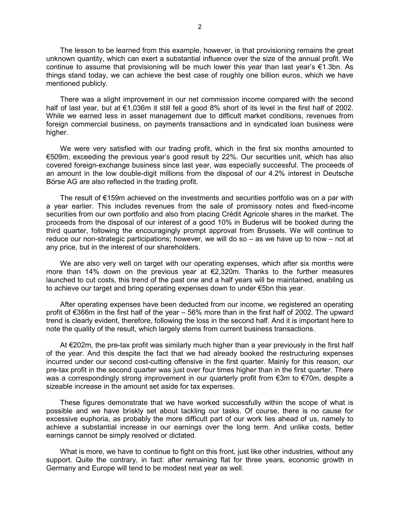The lesson to be learned from this example, however, is that provisioning remains the great unknown quantity, which can exert a substantial influence over the size of the annual profit. We continue to assume that provisioning will be much lower this year than last year's  $\epsilon$ 1.3bn. As things stand today, we can achieve the best case of roughly one billion euros, which we have mentioned publicly.

There was a slight improvement in our net commission income compared with the second half of last year, but at €1,036m it still fell a good 8% short of its level in the first half of 2002. While we earned less in asset management due to difficult market conditions, revenues from foreign commercial business, on payments transactions and in syndicated loan business were higher.

We were very satisfied with our trading profit, which in the first six months amounted to €509m, exceeding the previous year's good result by 22%. Our securities unit, which has also covered foreign-exchange business since last year, was especially successful. The proceeds of an amount in the low double-digit millions from the disposal of our 4.2% interest in Deutsche Börse AG are also reflected in the trading profit.

The result of €159m achieved on the investments and securities portfolio was on a par with a year earlier. This includes revenues from the sale of promissory notes and fixed-income securities from our own portfolio and also from placing Crédit Agricole shares in the market. The proceeds from the disposal of our interest of a good 10% in Buderus will be booked during the third quarter, following the encouragingly prompt approval from Brussels. We will continue to reduce our non-strategic participations; however, we will do so – as we have up to now – not at any price, but in the interest of our shareholders.

We are also very well on target with our operating expenses, which after six months were more than 14% down on the previous year at €2,320m. Thanks to the further measures launched to cut costs, this trend of the past one and a half years will be maintained, enabling us to achieve our target and bring operating expenses down to under €5bn this year.

After operating expenses have been deducted from our income, we registered an operating profit of €366m in the first half of the year – 56% more than in the first half of 2002. The upward trend is clearly evident, therefore, following the loss in the second half. And it is important here to note the quality of the result, which largely stems from current business transactions.

At €202m, the pre-tax profit was similarly much higher than a year previously in the first half of the year. And this despite the fact that we had already booked the restructuring expenses incurred under our second cost-cutting offensive in the first quarter. Mainly for this reason, our pre-tax profit in the second quarter was just over four times higher than in the first quarter. There was a correspondingly strong improvement in our quarterly profit from €3m to €70m, despite a sizeable increase in the amount set aside for tax expenses.

These figures demonstrate that we have worked successfully within the scope of what is possible and we have briskly set about tackling our tasks. Of course, there is no cause for excessive euphoria, as probably the more difficult part of our work lies ahead of us, namely to achieve a substantial increase in our earnings over the long term. And unlike costs, better earnings cannot be simply resolved or dictated.

What is more, we have to continue to fight on this front, just like other industries, without any support. Quite the contrary, in fact: after remaining flat for three years, economic growth in Germany and Europe will tend to be modest next year as well.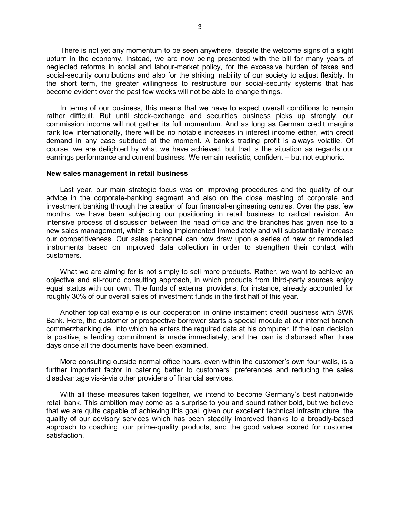There is not yet any momentum to be seen anywhere, despite the welcome signs of a slight upturn in the economy. Instead, we are now being presented with the bill for many years of neglected reforms in social and labour-market policy, for the excessive burden of taxes and social-security contributions and also for the striking inability of our society to adjust flexibly. In the short term, the greater willingness to restructure our social-security systems that has become evident over the past few weeks will not be able to change things.

In terms of our business, this means that we have to expect overall conditions to remain rather difficult. But until stock-exchange and securities business picks up strongly, our commission income will not gather its full momentum. And as long as German credit margins rank low internationally, there will be no notable increases in interest income either, with credit demand in any case subdued at the moment. A bank's trading profit is always volatile. Of course, we are delighted by what we have achieved, but that is the situation as regards our earnings performance and current business. We remain realistic, confident – but not euphoric.

## **New sales management in retail business**

Last year, our main strategic focus was on improving procedures and the quality of our advice in the corporate-banking segment and also on the close meshing of corporate and investment banking through the creation of four financial-engineering centres. Over the past few months, we have been subjecting our positioning in retail business to radical revision. An intensive process of discussion between the head office and the branches has given rise to a new sales management, which is being implemented immediately and will substantially increase our competitiveness. Our sales personnel can now draw upon a series of new or remodelled instruments based on improved data collection in order to strengthen their contact with customers.

What we are aiming for is not simply to sell more products. Rather, we want to achieve an objective and all-round consulting approach, in which products from third-party sources enjoy equal status with our own. The funds of external providers, for instance, already accounted for roughly 30% of our overall sales of investment funds in the first half of this year.

Another topical example is our cooperation in online instalment credit business with SWK Bank. Here, the customer or prospective borrower starts a special module at our internet branch commerzbanking.de, into which he enters the required data at his computer. If the loan decision is positive, a lending commitment is made immediately, and the loan is disbursed after three days once all the documents have been examined.

More consulting outside normal office hours, even within the customer's own four walls, is a further important factor in catering better to customers' preferences and reducing the sales disadvantage vis-à-vis other providers of financial services.

With all these measures taken together, we intend to become Germany's best nationwide retail bank. This ambition may come as a surprise to you and sound rather bold, but we believe that we are quite capable of achieving this goal, given our excellent technical infrastructure, the quality of our advisory services which has been steadily improved thanks to a broadly-based approach to coaching, our prime-quality products, and the good values scored for customer satisfaction.